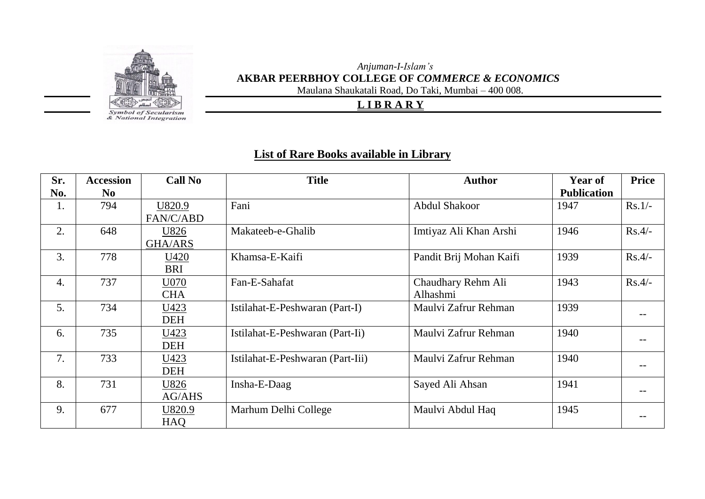

**Symbol of Secularism**<br>& National Integration

## *Anjuman-I-Islam's* **AKBAR PEERBHOY COLLEGE OF** *COMMERCE & ECONOMICS*

Maulana Shaukatali Road, Do Taki, Mumbai – 400 008.

## **L I B R A R Y**

## **List of Rare Books available in Library**

| Sr.              | <b>Accession</b> | <b>Call No</b> | <b>Title</b>                     | <b>Author</b>           | <b>Year of</b>     | <b>Price</b> |
|------------------|------------------|----------------|----------------------------------|-------------------------|--------------------|--------------|
| No.              | N <sub>0</sub>   |                |                                  |                         | <b>Publication</b> |              |
| 1.               | 794              | U820.9         | Fani                             | <b>Abdul Shakoor</b>    | 1947               | $Rs.1/-$     |
|                  |                  | FAN/C/ABD      |                                  |                         |                    |              |
| 2.               | 648              | U826           | Makateeb-e-Ghalib                | Imtiyaz Ali Khan Arshi  | 1946               | $Rs.4/-$     |
|                  |                  | <b>GHA/ARS</b> |                                  |                         |                    |              |
| 3.               | 778              | U420           | Khamsa-E-Kaifi                   | Pandit Brij Mohan Kaifi | 1939               | $Rs.4/-$     |
|                  |                  | <b>BRI</b>     |                                  |                         |                    |              |
| $\overline{4}$ . | 737              | U070           | Fan-E-Sahafat                    | Chaudhary Rehm Ali      | 1943               | $Rs.4/-$     |
|                  |                  | <b>CHA</b>     |                                  | Alhashmi                |                    |              |
| 5.               | 734              | U423           | Istilahat-E-Peshwaran (Part-I)   | Maulvi Zafrur Rehman    | 1939               |              |
|                  |                  | <b>DEH</b>     |                                  |                         |                    |              |
| 6.               | 735              | U423           | Istilahat-E-Peshwaran (Part-Ii)  | Maulvi Zafrur Rehman    | 1940               |              |
|                  |                  | DEH            |                                  |                         |                    |              |
| 7.               | 733              | U423           | Istilahat-E-Peshwaran (Part-Iii) | Maulvi Zafrur Rehman    | 1940               |              |
|                  |                  | <b>DEH</b>     |                                  |                         |                    |              |
| 8.               | 731              | U826           | Insha-E-Daag                     | Sayed Ali Ahsan         | 1941               |              |
|                  |                  | AG/AHS         |                                  |                         |                    |              |
| 9.               | 677              | U820.9         | Marhum Delhi College             | Maulvi Abdul Haq        | 1945               |              |
|                  |                  | HAQ            |                                  |                         |                    |              |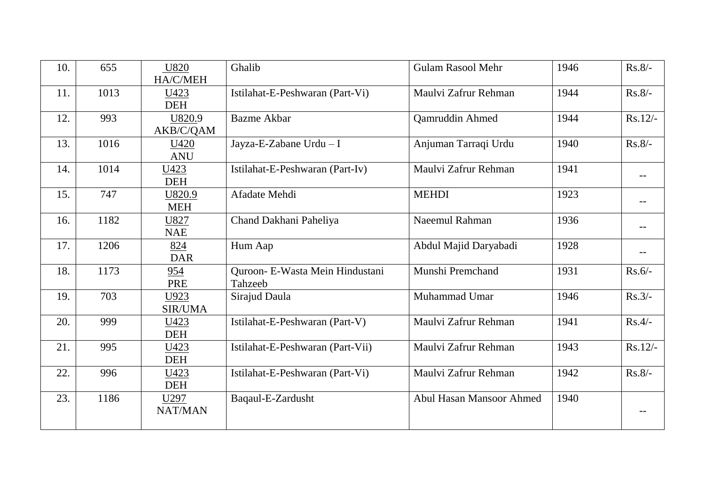| 10. | 655  | U820           | Ghalib                           | <b>Gulam Rasool Mehr</b>        | 1946 | $Rs.8/-$          |
|-----|------|----------------|----------------------------------|---------------------------------|------|-------------------|
|     |      | HA/C/MEH       |                                  |                                 |      |                   |
| 11. | 1013 | U423           | Istilahat-E-Peshwaran (Part-Vi)  | Maulvi Zafrur Rehman            | 1944 | $Rs.8/-$          |
|     |      | <b>DEH</b>     |                                  |                                 |      |                   |
| 12. | 993  | U820.9         | <b>Bazme Akbar</b>               | Qamruddin Ahmed                 | 1944 | $Rs.12/-$         |
|     |      | AKB/C/QAM      |                                  |                                 |      |                   |
| 13. | 1016 | U420           | Jayza-E-Zabane Urdu - I          | Anjuman Tarraqi Urdu            | 1940 | $Rs.8/-$          |
|     |      | <b>ANU</b>     |                                  |                                 |      |                   |
| 14. | 1014 | U423           | Istilahat-E-Peshwaran (Part-Iv)  | Maulvi Zafrur Rehman            | 1941 |                   |
|     |      | <b>DEH</b>     |                                  |                                 |      | $\qquad \qquad -$ |
| 15. | 747  | U820.9         | Afadate Mehdi                    | <b>MEHDI</b>                    | 1923 |                   |
|     |      | <b>MEH</b>     |                                  |                                 |      |                   |
| 16. | 1182 | U827           | Chand Dakhani Paheliya           | Naeemul Rahman                  | 1936 |                   |
|     |      | <b>NAE</b>     |                                  |                                 |      | --                |
| 17. | 1206 | 824            | Hum Aap                          | Abdul Majid Daryabadi           | 1928 |                   |
|     |      | <b>DAR</b>     |                                  |                                 |      |                   |
| 18. | 1173 | 954            | Quroon- E-Wasta Mein Hindustani  | Munshi Premchand                | 1931 | $Rs.6/-$          |
|     |      | <b>PRE</b>     | Tahzeeb                          |                                 |      |                   |
| 19. | 703  | U923           | Sirajud Daula                    | Muhammad Umar                   | 1946 | $Rs.3/-$          |
|     |      | <b>SIR/UMA</b> |                                  |                                 |      |                   |
| 20. | 999  | U423           | Istilahat-E-Peshwaran (Part-V)   | Maulvi Zafrur Rehman            | 1941 | $Rs.4/-$          |
|     |      | <b>DEH</b>     |                                  |                                 |      |                   |
| 21. | 995  | U423           | Istilahat-E-Peshwaran (Part-Vii) | Maulvi Zafrur Rehman            | 1943 | $Rs.12/-$         |
|     |      | <b>DEH</b>     |                                  |                                 |      |                   |
| 22. | 996  | U423           | Istilahat-E-Peshwaran (Part-Vi)  | Maulvi Zafrur Rehman            | 1942 | $Rs.8/-$          |
|     |      | <b>DEH</b>     |                                  |                                 |      |                   |
| 23. | 1186 | U297           | Baqaul-E-Zardusht                | <b>Abul Hasan Mansoor Ahmed</b> | 1940 |                   |
|     |      | NAT/MAN        |                                  |                                 |      |                   |
|     |      |                |                                  |                                 |      |                   |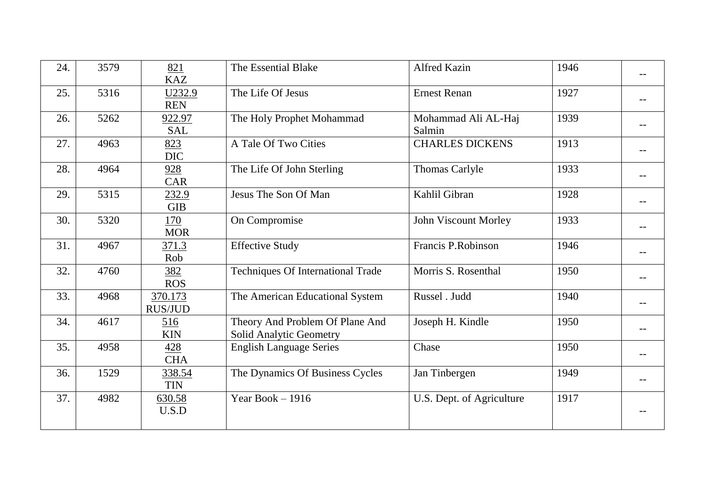| 24. | 3579 | 821<br><b>KAZ</b>         | The Essential Blake                                               | <b>Alfred Kazin</b>           | 1946 |  |
|-----|------|---------------------------|-------------------------------------------------------------------|-------------------------------|------|--|
| 25. | 5316 | U232.9<br><b>REN</b>      | The Life Of Jesus                                                 | <b>Ernest Renan</b>           | 1927 |  |
| 26. | 5262 | 922.97<br><b>SAL</b>      | The Holy Prophet Mohammad                                         | Mohammad Ali AL-Haj<br>Salmin | 1939 |  |
| 27. | 4963 | 823<br><b>DIC</b>         | A Tale Of Two Cities                                              | <b>CHARLES DICKENS</b>        | 1913 |  |
| 28. | 4964 | 928<br><b>CAR</b>         | The Life Of John Sterling                                         | Thomas Carlyle                | 1933 |  |
| 29. | 5315 | 232.9<br><b>GIB</b>       | Jesus The Son Of Man                                              | Kahlil Gibran                 | 1928 |  |
| 30. | 5320 | 170<br><b>MOR</b>         | On Compromise                                                     | John Viscount Morley          | 1933 |  |
| 31. | 4967 | 371.3<br>Rob              | <b>Effective Study</b>                                            | Francis P.Robinson            | 1946 |  |
| 32. | 4760 | 382<br><b>ROS</b>         | <b>Techniques Of International Trade</b>                          | Morris S. Rosenthal           | 1950 |  |
| 33. | 4968 | 370.173<br><b>RUS/JUD</b> | The American Educational System                                   | Russel . Judd                 | 1940 |  |
| 34. | 4617 | 516<br><b>KIN</b>         | Theory And Problem Of Plane And<br><b>Solid Analytic Geometry</b> | Joseph H. Kindle              | 1950 |  |
| 35. | 4958 | 428<br><b>CHA</b>         | <b>English Language Series</b>                                    | Chase                         | 1950 |  |
| 36. | 1529 | 338.54<br><b>TIN</b>      | The Dynamics Of Business Cycles                                   | Jan Tinbergen                 | 1949 |  |
| 37. | 4982 | 630.58<br>U.S.D           | Year Book $-1916$                                                 | U.S. Dept. of Agriculture     | 1917 |  |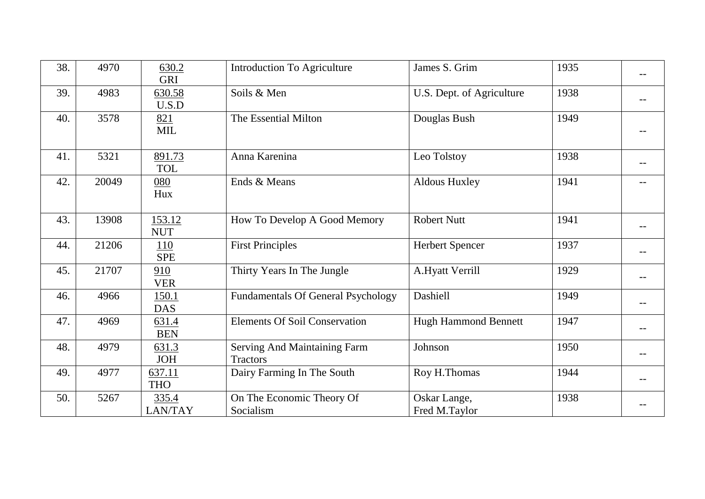| 38. | 4970  | 630.2<br><b>GRI</b>      | <b>Introduction To Agriculture</b>              | James S. Grim                 | 1935 |  |
|-----|-------|--------------------------|-------------------------------------------------|-------------------------------|------|--|
| 39. | 4983  | 630.58<br>U.S.D          | Soils & Men                                     | U.S. Dept. of Agriculture     | 1938 |  |
| 40. | 3578  | 821<br><b>MIL</b>        | The Essential Milton                            | Douglas Bush                  | 1949 |  |
| 41. | 5321  | 891.73<br><b>TOL</b>     | Anna Karenina                                   | Leo Tolstoy                   | 1938 |  |
| 42. | 20049 | 080<br>Hux               | Ends & Means                                    | <b>Aldous Huxley</b>          | 1941 |  |
| 43. | 13908 | 153.12<br><b>NUT</b>     | How To Develop A Good Memory                    | <b>Robert Nutt</b>            | 1941 |  |
| 44. | 21206 | <u>110</u><br><b>SPE</b> | <b>First Principles</b>                         | <b>Herbert Spencer</b>        | 1937 |  |
| 45. | 21707 | 910<br><b>VER</b>        | Thirty Years In The Jungle                      | A.Hyatt Verrill               | 1929 |  |
| 46. | 4966  | 150.1<br><b>DAS</b>      | <b>Fundamentals Of General Psychology</b>       | Dashiell                      | 1949 |  |
| 47. | 4969  | 631.4<br><b>BEN</b>      | <b>Elements Of Soil Conservation</b>            | <b>Hugh Hammond Bennett</b>   | 1947 |  |
| 48. | 4979  | 631.3<br><b>JOH</b>      | Serving And Maintaining Farm<br><b>Tractors</b> | Johnson                       | 1950 |  |
| 49. | 4977  | 637.11<br><b>THO</b>     | Dairy Farming In The South                      | Roy H.Thomas                  | 1944 |  |
| 50. | 5267  | 335.4<br>LAN/TAY         | On The Economic Theory Of<br>Socialism          | Oskar Lange,<br>Fred M.Taylor | 1938 |  |